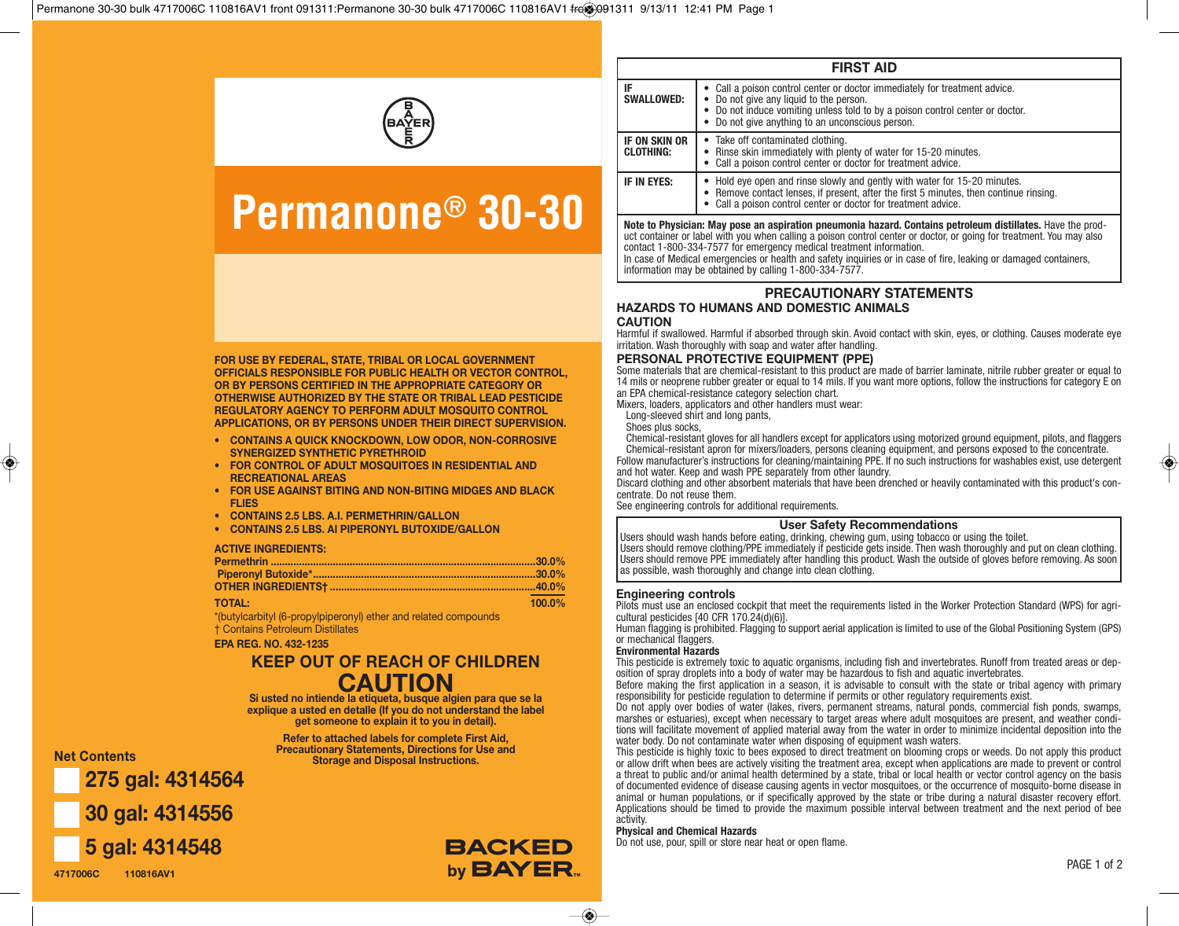

# **Permanone® 30-30**

| <b>FIRST AID</b>                                                                                                                                                                                                                  |                                                                                                                                                                                                                                                        |  |  |  |  |  |  |
|-----------------------------------------------------------------------------------------------------------------------------------------------------------------------------------------------------------------------------------|--------------------------------------------------------------------------------------------------------------------------------------------------------------------------------------------------------------------------------------------------------|--|--|--|--|--|--|
| IF<br><b>SWALLOWED:</b>                                                                                                                                                                                                           | Call a poison control center or doctor immediately for treatment advice.<br>Do not give any liquid to the person.<br>• Do not induce vomiting unless told to by a poison control center or doctor.<br>• Do not give anything to an unconscious person. |  |  |  |  |  |  |
| IF ON SKIN OR<br><b>CLOTHING:</b>                                                                                                                                                                                                 | Take off contaminated clothing.<br>$\bullet$<br>• Rinse skin immediately with plenty of water for 15-20 minutes.<br>Call a poison control center or doctor for treatment advice.                                                                       |  |  |  |  |  |  |
| IF IN EYES:                                                                                                                                                                                                                       | Hold eve open and rinse slowly and gently with water for 15-20 minutes.<br>• Remove contact lenses, if present, after the first 5 minutes, then continue rinsing.<br>• Call a poison control center or doctor for treatment advice.                    |  |  |  |  |  |  |
| Note to Physician: May pose an aspiration pneumonia hazard. Contains petroleum distillates. Have the prod-<br>uct container or label with you when calling a poison control center or doctor or going for treatment. You may also |                                                                                                                                                                                                                                                        |  |  |  |  |  |  |

uct container or label with you when calling a poison control center or doctor, or going for treatment. You may also contact 1-800-334-7577 for emergency medical treatment information. In case of Medical emergencies or health and safety inquiries or in case of fire, leaking or damaged containers, information may be obtained by calling 1-800-334-7577.

**PRECAUTIONARY STATEMENTS HAZARDS TO HUMANS AND DOMESTIC ANIMALS**

# **CAUTION**

Harmful if swallowed. Harmful if absorbed through skin. Avoid contact with skin, eyes, or clothing. Causes moderate eye irritation. Wash thoroughly with soap and water after handling.

# **PERSONAL PROTECTIVE EQUIPMENT (PPE)**

Some materials that are chemical-resistant to this product are made of barrier laminate, nitrile rubber greater or equal to 14 mils or neoprene rubber greater or equal to 14 mils. If you want more options, follow the instructions for category E on an EPA chemical-resistance category selection chart.

Mixers, loaders, applicators and other handlers must wear:

Long-sleeved shirt and long pants,

Shoes plus socks,

Chemical-resistant gloves for all handlers except for applicators using motorized ground equipment, pilots, and flaggers Chemical-resistant apron for mixers/loaders, persons cleaning equipment, and persons exposed to the concentrate. Follow manufacturer's instructions for cleaning/maintaining PPE. If no such instructions for washables exist, use detergent and hot water. Keep and wash PPE separately from other laundry.

Discard clothing and other absorbent materials that have been drenched or heavily contaminated with this product's concentrate. Do not reuse them.

See engineering controls for additional requirements.

# **User Safety Recommendations**

Users should wash hands before eating, drinking, chewing gum, using tobacco or using the toilet. Users should remove clothing/PPE immediately if pesticide gets inside. Then wash thoroughly and put on clean clothing. Users should remove PPE immediately after handling this product. Wash the outside of gloves before removing. As soon as possible, wash thoroughly and change into clean clothing.

### **Engineering controls**

Pilots must use an enclosed cockpit that meet the requirements listed in the Worker Protection Standard (WPS) for agricultural pesticides [40 CFR 170.24(d)(6)].

Human flagging is prohibited. Flagging to support aerial application is limited to use of the Global Positioning System (GPS) or mechanical flaggers.

## **Environmental Hazards**

This pesticide is extremely toxic to aquatic organisms, including fish and invertebrates. Runoff from treated areas or deposition of spray droplets into a body of water may be hazardous to fish and aquatic invertebrates.

Before making the first application in a season, it is advisable to consult with the state or tribal agency with primary responsibility for pesticide regulation to determine if permits or other regulatory requirements exist.

Do not apply over bodies of water (lakes, rivers, permanent streams, natural ponds, commercial fish ponds, swamps, marshes or estuaries), except when necessary to target areas where adult mosquitoes are present, and weather conditions will facilitate movement of applied material away from the water in order to minimize incidental deposition into the water body. Do not contaminate water when disposing of equipment wash waters.

This pesticide is highly toxic to bees exposed to direct treatment on blooming crops or weeds. Do not apply this product or allow drift when bees are actively visiting the treatment area, except when applications are made to prevent or control a threat to public and/or animal health determined by a state, tribal or local health or vector control agency on the basis of documented evidence of disease causing agents in vector mosquitoes, or the occurrence of mosquito-borne disease in animal or human populations, or if specifically approved by the state or tribe during a natural disaster recovery effort. Applications should be timed to provide the maximum possible interval between treatment and the next period of bee activity.

# **Physical and Chemical Hazards**

Do not use, pour, spill or store near heat or open flame.

**FOR USE BY FEDERAL, STATE, TRIBAL OR LOCAL GOVERNMENT OFFICIALS RESPONSIBLE FOR PUBLIC HEALTH OR VECTOR CONTROL, OR BY PERSONS CERTIFIED IN THE APPROPRIATE CATEGORY OR OTHERWISE AUTHORIZED BY THE STATE OR TRIBAL LEAD PESTICIDE REGULATORY AGENCY TO PERFORM ADULT MOSQUITO CONTROL APPLICATIONS, OR BY PERSONS UNDER THEIR DIRECT SUPERVISION.**

- **• CONTAINS A QUICK KNOCKDOWN, LOW ODOR, NON-CORROSIVE SYNERGIZED SYNTHETIC PYRETHROID**
- **• FOR CONTROL OF ADULT MOSQUITOES IN RESIDENTIAL AND RECREATIONAL AREAS**
- **• FOR USE AGAINST BITING AND NON-BITING MIDGES AND BLACK FLIES**
- **• CONTAINS 2.5 LBS. A.I. PERMETHRIN/GALLON**
- **• CONTAINS 2.5 LBS. AI PIPERONYL BUTOXIDE/GALLON**

## **ACTIVE INGREDIENTS:**

| <b>TOTAL:</b> | $100.0\%$ |
|---------------|-----------|

\*(butylcarbityl (6-propylpiperonyl) ether and related compounds † Contains Petroleum Distillates

**EPA REG. NO. 432-1235**

# **CAUTION KEEP OUT OF REACH OF CHILDREN**

**Si usted no intiende la etiqueta, busque algien para que se la explique a usted en detalle (If you do not understand the label get someone to explain it to you in detail).**

> **Refer to attached labels for complete First Aid, Precautionary Statements, Directions for Use and Storage and Disposal Instructions.**

**275 gal: 4314564 30 gal: 4314556**



**4717006C 110816AV1**

**Net Contents**



 $\bullet$